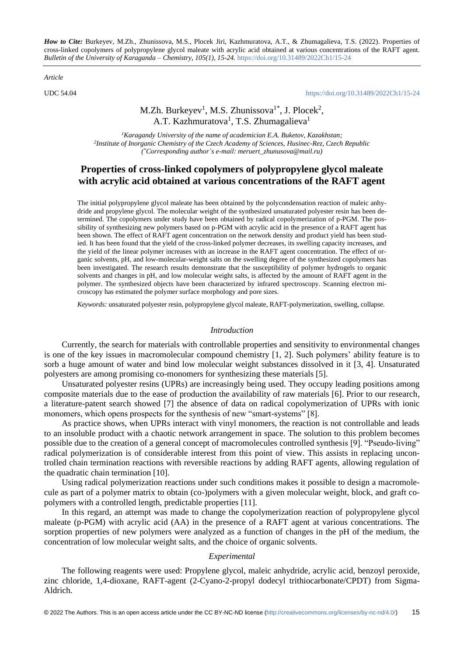*How to Cite:* Burkeyev, M.Zh., Zhunissova, M.S., Plocek Jiri, Kazhmuratova, A.T., & Zhumagalieva, T.S. (2022). Properties of cross-linked copolymers of polypropylene glycol maleate with acrylic acid obtained at various concentrations of the RAFT agent. *Bulletin of the University of Karaganda – Chemistry, 105(1), 15-24.* <https://doi.org/10.31489/2022Ch1/15-24>

*Article*

UDC 54.04 <https://doi.org/10.31489/2022Ch1/15-24>

# M.Zh. Burkeyev<sup>1</sup>, M.S. Zhunissova<sup>1\*</sup>, J. Plocek<sup>2</sup>, A.T. Kazhmuratova<sup>1</sup>, T.S. Zhumagalieva<sup>1</sup>

*<sup>1</sup>Karagandy University of the name of academician E.A. Buketov, Kazakhstan; 2 Institute of Inorganic Chemistry of the Czech Academy of Sciences, Husinec-Rez, Czech Republic ( \*Corresponding author`s e-mail: meruert\_zhunusova@mail.ru)*

# **Properties of cross-linked copolymers of polypropylene glycol maleate with acrylic acid obtained at various concentrations of the RAFT agent**

The initial polypropylene glycol maleate has been obtained by the polycondensation reaction of maleic anhydride and propylene glycol. The molecular weight of the synthesized unsaturated polyester resin has been determined. The copolymers under study have been obtained by radical copolymerization of p-PGM. The possibility of synthesizing new polymers based on p-PGM with acrylic acid in the presence of a RAFT agent has been shown. The effect of RAFT agent concentration on the network density and product yield has been studied. It has been found that the yield of the cross-linked polymer decreases, its swelling capacity increases, and the yield of the linear polymer increases with an increase in the RAFT agent concentration. The effect of organic solvents, pH, and low-molecular-weight salts on the swelling degree of the synthesized copolymers has been investigated. The research results demonstrate that the susceptibility of polymer hydrogels to organic solvents and changes in pH, and low molecular weight salts, is affected by the amount of RAFT agent in the polymer. The synthesized objects have been characterized by infrared spectroscopy. Scanning electron microscopy has estimated the polymer surface morphology and pore sizes.

*Keywords:* unsaturated polyester resin, polypropylene glycol maleate, RAFT-polymerization, swelling, collapse.

## *Introduction*

Currently, the search for materials with controllable properties and sensitivity to environmental changes is one of the key issues in macromolecular compound chemistry [1, 2]. Such polymers' ability feature is to sorb a huge amount of water and bind low molecular weight substances dissolved in it [3, 4]. Unsaturated polyesters are among promising co-monomers for synthesizing these materials [5].

Unsaturated polyester resins (UPRs) are increasingly being used. They occupy leading positions among composite materials due to the ease of production the availability of raw materials [6]. Prior to our research, a literature-patent search showed [7] the absence of data on radical copolymerization of UPRs with ionic monomers, which opens prospects for the synthesis of new "smart-systems" [8].

As practice shows, when UPRs interact with vinyl monomers, the reaction is not controllable and leads to an insoluble product with a chaotic network arrangement in space. The solution to this problem becomes possible due to the creation of a general concept of macromolecules controlled synthesis [9]. "Pseudo-living" radical polymerization is of considerable interest from this point of view. This assists in replacing uncontrolled chain termination reactions with reversible reactions by adding RAFT agents, allowing regulation of the quadratic chain termination [10].

Using radical polymerization reactions under such conditions makes it possible to design a macromolecule as part of a polymer matrix to obtain (co-)polymers with a given molecular weight, block, and graft copolymers with a controlled length, predictable properties [11].

In this regard, an attempt was made to change the copolymerization reaction of polypropylene glycol maleate (p-PGM) with acrylic acid (AA) in the presence of a RAFT agent at various concentrations. The sorption properties of new polymers were analyzed as a function of changes in the pH of the medium, the concentration of low molecular weight salts, and the choice of organic solvents.

#### *Experimental*

The following reagents were used: Propylene glycol, maleic anhydride, acrylic acid, benzoyl peroxide, zinc chloride, 1,4-dioxane, RAFT-agent (2-Cyano-2-propyl dodecyl trithiocarbonate/CPDT) from Sigma-Aldrich.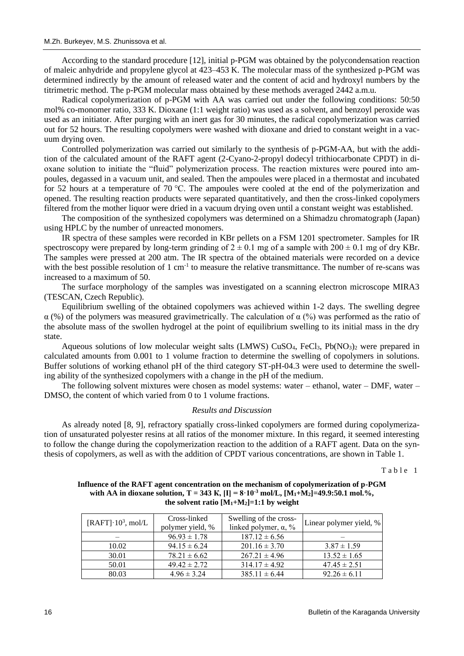According to the standard procedure [12], initial p-PGM was obtained by the polycondensation reaction of maleic anhydride and propylene glycol at 423–453 K. The molecular mass of the synthesized p-PGM was determined indirectly by the amount of released water and the content of acid and hydroxyl numbers by the titrimetric method. The p-PGM molecular mass obtained by these methods averaged 2442 a.m.u.

Radical copolymerization of p-PGM with AA was carried out under the following conditions: 50:50 mol% co-monomer ratio, 333 K. Dioxane (1:1 weight ratio) was used as a solvent, and benzoyl peroxide was used as an initiator. After purging with an inert gas for 30 minutes, the radical copolymerization was carried out for 52 hours. The resulting copolymers were washed with dioxane and dried to constant weight in a vacuum drying oven.

Controlled polymerization was carried out similarly to the synthesis of p-PGM-AA, but with the addition of the calculated amount of the RAFT agent (2-Cyano-2-propyl dodecyl trithiocarbonate CPDT) in dioxane solution to initiate the "fluid" polymerization process. The reaction mixtures were poured into ampoules, degassed in a vacuum unit, and sealed. Then the ampoules were placed in a thermostat and incubated for 52 hours at a temperature of 70 °C. The ampoules were cooled at the end of the polymerization and opened. The resulting reaction products were separated quantitatively, and then the cross-linked copolymers filtered from the mother liquor were dried in a vacuum drying oven until a constant weight was established.

The composition of the synthesized copolymers was determined on a Shimadzu chromatograph (Japan) using HPLC by the number of unreacted monomers.

IR spectra of these samples were recorded in KBr pellets on a FSM 1201 spectrometer. Samples for IR spectroscopy were prepared by long-term grinding of  $2 \pm 0.1$  mg of a sample with  $200 \pm 0.1$  mg of dry KBr. The samples were pressed at 200 atm. The IR spectra of the obtained materials were recorded on a device with the best possible resolution of  $1 \text{ cm}^{-1}$  to measure the relative transmittance. The number of re-scans was increased to a maximum of 50.

The surface morphology of the samples was investigated on a scanning electron microscope MIRA3 (TESCAN, Czech Republic).

Equilibrium swelling of the obtained copolymers was achieved within 1-2 days. The swelling degree α (%) of the polymers was measured gravimetrically. The calculation of α (%) was performed as the ratio of the absolute mass of the swollen hydrogel at the point of equilibrium swelling to its initial mass in the dry state.

Aqueous solutions of low molecular weight salts (LMWS)  $CuSO<sub>4</sub>$ , FeCl<sub>3</sub>, Pb(NO<sub>3</sub>)<sub>2</sub> were prepared in calculated amounts from 0.001 to 1 volume fraction to determine the swelling of copolymers in solutions. Buffer solutions of working ethanol pH of the third category ST-pH-04.3 were used to determine the swelling ability of the synthesized copolymers with a change in the pH of the medium.

The following solvent mixtures were chosen as model systems: water – ethanol, water – DMF, water – DMSO, the content of which varied from 0 to 1 volume fractions.

## *Results and Discussion*

As already noted [8, 9], refractory spatially cross-linked copolymers are formed during copolymerization of unsaturated polyester resins at all ratios of the monomer mixture. In this regard, it seemed interesting to follow the change during the copolymerization reaction to the addition of a RAFT agent. Data on the synthesis of copolymers, as well as with the addition of CPDT various concentrations, are shown in Table 1.

Table 1

## **Influence of the RAFT agent concentration on the mechanism of copolymerization of p-PGM**  with AA in dioxane solution,  $T = 343$  K,  $[I] = 8.10^{3}$  mol/L,  $[M_1 + M_2] = 49.9$ :50.1 mol.%, the solvent ratio  $[M_1+M_2]=1:1$  by weight

| [RAFT] $\cdot 10^3$ , mol/L | Cross-linked<br>polymer yield, % | Swelling of the cross-<br>linked polymer, $\alpha$ , % | Linear polymer yield, % |
|-----------------------------|----------------------------------|--------------------------------------------------------|-------------------------|
|                             | $96.93 \pm 1.78$                 | $187.12 \pm 6.56$                                      |                         |
| 10.02                       | $94.15 \pm 6.24$                 | $201.16 \pm 3.70$                                      | $3.87 \pm 1.59$         |
| 30.01                       | $78.21 \pm 6.62$                 | $267.21 \pm 4.96$                                      | $13.52 \pm 1.65$        |
| 50.01                       | $49.42 \pm 2.72$                 | $314.17 \pm 4.92$                                      | $47.45 \pm 2.51$        |
| 80.03                       | $4.96 \pm 3.24$                  | $385.11 \pm 6.44$                                      | $92.26 \pm 6.11$        |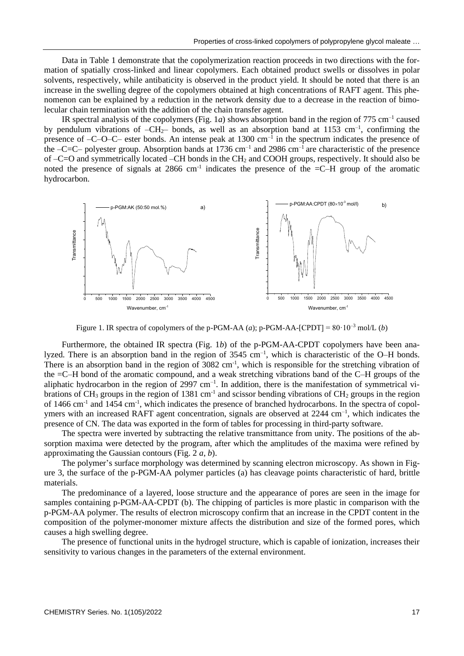Data in Table 1 demonstrate that the copolymerization reaction proceeds in two directions with the formation of spatially cross-linked and linear copolymers. Each obtained product swells or dissolves in polar solvents, respectively, while antibaticity is observed in the product yield. It should be noted that there is an increase in the swelling degree of the copolymers obtained at high concentrations of RAFT agent. This phenomenon can be explained by a reduction in the network density due to a decrease in the reaction of bimolecular chain termination with the addition of the chain transfer agent.

IR spectral analysis of the copolymers (Fig. 1*a*) shows absorption band in the region of  $775 \text{ cm}^{-1}$  caused by pendulum vibrations of  $-CH_2$  bonds, as well as an absorption band at 1153 cm<sup>-1</sup>, confirming the presence of -C-O-C- ester bonds. An intense peak at 1300 cm<sup>-1</sup> in the spectrum indicates the presence of the  $-C=C-$  polyester group. Absorption bands at 1736 cm<sup>-1</sup> and 2986 cm<sup>-1</sup> are characteristic of the presence of –C=O and symmetrically located –CH bonds in the CH<sup>2</sup> and COOH groups, respectively. It should also be noted the presence of signals at 2866 cm<sup>-1</sup> indicates the presence of the  $=$ C $-$ H group of the aromatic hydrocarbon.



Figure 1. IR spectra of copolymers of the p-PGM-AA  $(a)$ ; p-PGM-AA- $[CPDT] = 80 \cdot 10^{-3}$  mol/L  $(b)$ 

Furthermore, the obtained IR spectra (Fig. 1*b*) of the p-PGM-AA-CPDT copolymers have been analyzed. There is an absorption band in the region of  $3545 \text{ cm}^{-1}$ , which is characteristic of the O–H bonds. There is an absorption band in the region of  $3082 \text{ cm}^{-1}$ , which is responsible for the stretching vibration of the =C–H bond of the aromatic compound, and a weak stretching vibrations band of the C–H groups of the aliphatic hydrocarbon in the region of 2997 cm<sup>-1</sup>. In addition, there is the manifestation of symmetrical vibrations of  $CH_3$  groups in the region of 1381 cm<sup>-1</sup> and scissor bending vibrations of  $CH_2$  groups in the region of 1466 cm<sup>-1</sup> and 1454 cm<sup>-1</sup>, which indicates the presence of branched hydrocarbons. In the spectra of copolymers with an increased RAFT agent concentration, signals are observed at 2244 cm<sup>-1</sup>, which indicates the presence of CN. The data was exported in the form of tables for processing in third-party software.

The spectra were inverted by subtracting the relative transmittance from unity. The positions of the absorption maxima were detected by the program, after which the amplitudes of the maxima were refined by approximating the Gaussian contours (Fig. 2 *a*, *b*).

The polymer's surface morphology was determined by scanning electron microscopy. As shown in Figure 3, the surface of the p-PGM-AA polymer particles (a) has cleavage points characteristic of hard, brittle materials.

The predominance of a layered, loose structure and the appearance of pores are seen in the image for samples containing p-PGM-AA-CPDT (b). The chipping of particles is more plastic in comparison with the p-PGM-AA polymer. The results of electron microscopy confirm that an increase in the CPDT content in the composition of the polymer-monomer mixture affects the distribution and size of the formed pores, which causes a high swelling degree.

The presence of functional units in the hydrogel structure, which is capable of ionization, increases their sensitivity to various changes in the parameters of the external environment.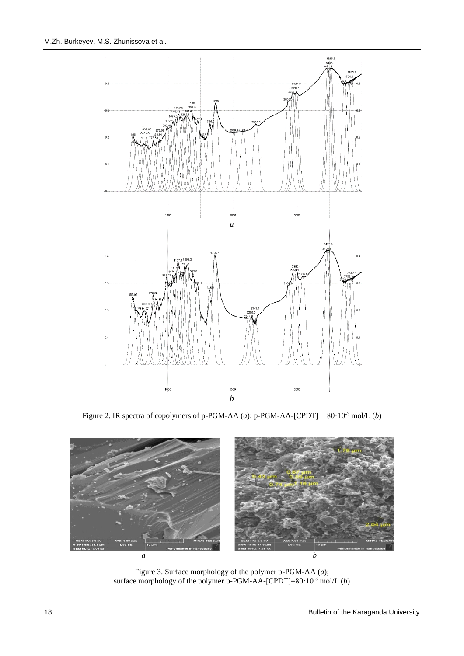

Figure 2. IR spectra of copolymers of p-PGM-AA  $(a)$ ; p-PGM-AA-[CPDT] = 80·10<sup>-3</sup> mol/L  $(b)$ 



Figure 3. Surface morphology of the polymer p-PGM-AA (*a*); surface morphology of the polymer p-PGM-AA- $[CPDT] = 80 \cdot 10^{-3}$  mol/L (*b*)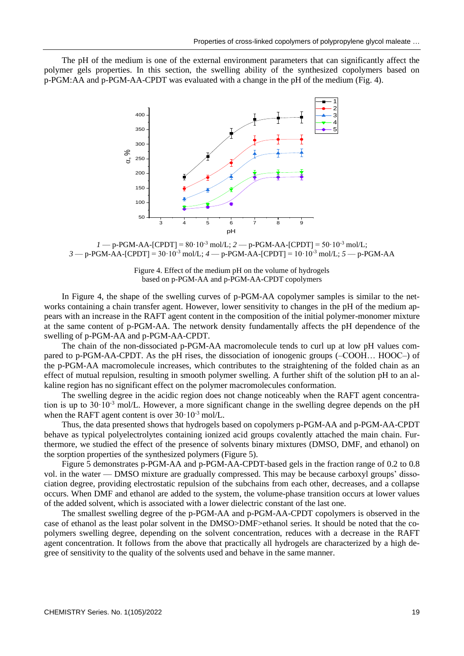The pH of the medium is one of the external environment parameters that can significantly affect the polymer gels properties. In this section, the swelling ability of the synthesized copolymers based on p-PGM:AA and p-PGM-AA-CPDT was evaluated with a change in the pH of the medium (Fig. 4).



 $1 - p$ -PGM-AA-[CPDT] = 80·10<sup>-3</sup> mol/L;  $2 - p$ -PGM-AA-[CPDT] = 50·10<sup>-3</sup> mol/L; *3* — p-PGM-AA-[CPDT] = 30·10-3 mol/L; *4* — p-PGM-AA-[CPDT] = 10·10-3 mol/L; *5* — p-PGM-AA

Figure 4. Effect of the medium pH on the volume of hydrogels based on p-PGM-AA and p-PGM-AA-CPDT copolymers

In Figure 4, the shape of the swelling curves of p-PGM-AA copolymer samples is similar to the networks containing a chain transfer agent. However, lower sensitivity to changes in the pH of the medium appears with an increase in the RAFT agent content in the composition of the initial polymer-monomer mixture at the same content of p-PGM-AA. The network density fundamentally affects the pH dependence of the swelling of p-PGM-AA and p-PGM-AA-CPDT.

The chain of the non-dissociated p-PGM-AA macromolecule tends to curl up at low pH values compared to p-PGM-AA-CPDT. As the pH rises, the dissociation of ionogenic groups (–COOH… HOOC–) of the p-PGM-AA macromolecule increases, which contributes to the straightening of the folded chain as an effect of mutual repulsion, resulting in smooth polymer swelling. A further shift of the solution pH to an alkaline region has no significant effect on the polymer macromolecules conformation.

The swelling degree in the acidic region does not change noticeably when the RAFT agent concentration is up to  $30 \cdot 10^{-3}$  mol/L. However, a more significant change in the swelling degree depends on the pH when the RAFT agent content is over  $30 \cdot 10^{-3}$  mol/L.

Thus, the data presented shows that hydrogels based on copolymers p-PGM-AA and p-PGM-AA-CPDT behave as typical polyelectrolytes containing ionized acid groups covalently attached the main chain. Furthermore, we studied the effect of the presence of solvents binary mixtures (DMSO, DMF, and ethanol) on the sorption properties of the synthesized polymers (Figure 5).

Figure 5 demonstrates p-PGM-AA and p-PGM-AA-CPDT-based gels in the fraction range of 0.2 to 0.8 vol. in the water — DMSO mixture are gradually compressed. This may be because carboxyl groups' dissociation degree, providing electrostatic repulsion of the subchains from each other, decreases, and a collapse occurs. When DMF and ethanol are added to the system, the volume-phase transition occurs at lower values of the added solvent, which is associated with a lower dielectric constant of the last one.

The smallest swelling degree of the p-PGM-AA and p-PGM-AA-CPDT copolymers is observed in the case of ethanol as the least polar solvent in the DMSO>DMF>ethanol series. It should be noted that the copolymers swelling degree, depending on the solvent concentration, reduces with a decrease in the RAFT agent concentration. It follows from the above that practically all hydrogels are characterized by a high degree of sensitivity to the quality of the solvents used and behave in the same manner.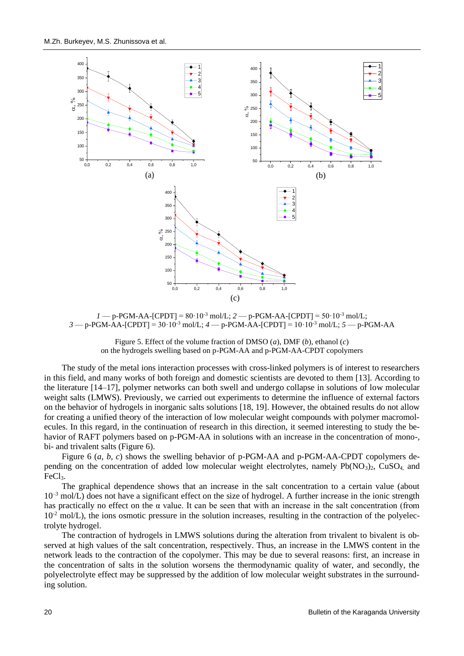

 $1 - p$ -PGM-AA-[CPDT] = 80·10<sup>-3</sup> mol/L;  $2 - p$ -PGM-AA-[CPDT] = 50·10<sup>-3</sup> mol/L; *3* — p-PGM-AA-[CPDT] = 30·10-3 mol/L; *4* — p-PGM-AA-[CPDT] = 10·10-3 mol/L; *5* — p-PGM-AA

Figure 5. Effect of the volume fraction of DMSO (*a*), DMF (*b*), ethanol (*c*) on the hydrogels swelling based on p-PGM-AA and p-PGM-AA-CPDT copolymers

The study of the metal ions interaction processes with cross-linked polymers is of interest to researchers in this field, and many works of both foreign and domestic scientists are devoted to them [13]. According to the literature [14–17], polymer networks can both swell and undergo collapse in solutions of low molecular weight salts (LMWS). Previously, we carried out experiments to determine the influence of external factors on the behavior of hydrogels in inorganic salts solutions [18, 19]. However, the obtained results do not allow for creating a unified theory of the interaction of low molecular weight compounds with polymer macromolecules. In this regard, in the continuation of research in this direction, it seemed interesting to study the behavior of RAFT polymers based on p-PGM-AA in solutions with an increase in the concentration of mono-, bi- and trivalent salts (Figure 6).

Figure 6 (*a*, *b*, *c*) shows the swelling behavior of p-PGM-AA and p-PGM-AA-CPDT copolymers depending on the concentration of added low molecular weight electrolytes, namely Pb(NO<sub>3</sub>)<sub>2</sub>, CuSO<sub>4</sub>, and FeCl<sub>3</sub>.

The graphical dependence shows that an increase in the salt concentration to a certain value (about  $10^{-3}$  mol/L) does not have a significant effect on the size of hydrogel. A further increase in the ionic strength has practically no effect on the  $\alpha$  value. It can be seen that with an increase in the salt concentration (from  $10^{-2}$  mol/L), the ions osmotic pressure in the solution increases, resulting in the contraction of the polyelectrolyte hydrogel.

The contraction of hydrogels in LMWS solutions during the alteration from trivalent to bivalent is observed at high values of the salt concentration, respectively. Thus, an increase in the LMWS content in the network leads to the contraction of the copolymer. This may be due to several reasons: first, an increase in the concentration of salts in the solution worsens the thermodynamic quality of water, and secondly, the polyelectrolyte effect may be suppressed by the addition of low molecular weight substrates in the surrounding solution.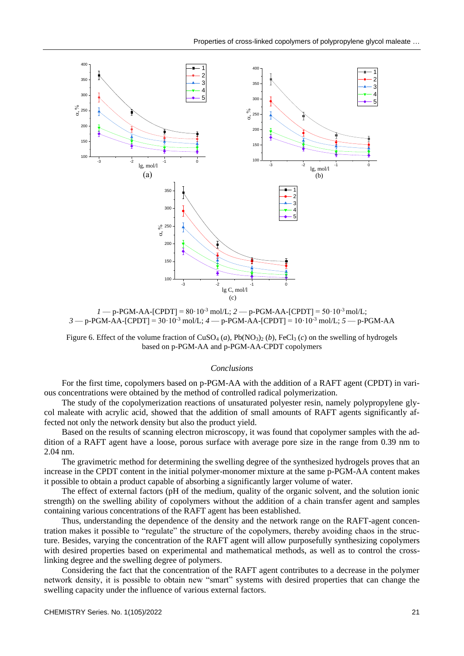

 $1 - p$ -PGM-AA-[CPDT] =  $80.10^{-3}$  mol/L;  $2 - p$ -PGM-AA-[CPDT] =  $50.10^{-3}$  mol/L; *3* — p-PGM-AA-[CPDT] = 30·10-3 mol/L; *4* — p-PGM-AA-[CPDT] = 10·10-3 mol/L; *5* — p-PGM-AA

Figure 6. Effect of the volume fraction of  $CuSO<sub>4</sub>(a)$ ,  $Pb(NO<sub>3</sub>)<sub>2</sub>(b)$ , FeCl<sub>3</sub> (*c*) on the swelling of hydrogels based on p-PGM-AA and p-PGM-AA-CPDT copolymers

### *Conclusions*

For the first time, copolymers based on p-PGM-AA with the addition of a RAFT agent (CPDT) in various concentrations were obtained by the method of controlled radical polymerization.

The study of the copolymerization reactions of unsaturated polyester resin, namely polypropylene glycol maleate with acrylic acid, showed that the addition of small amounts of RAFT agents significantly affected not only the network density but also the product yield.

Based on the results of scanning electron microscopy, it was found that copolymer samples with the addition of a RAFT agent have a loose, porous surface with average pore size in the range from 0.39 nm to 2.04 nm.

The gravimetric method for determining the swelling degree of the synthesized hydrogels proves that an increase in the CPDT content in the initial polymer-monomer mixture at the same p-PGM-AA content makes it possible to obtain a product capable of absorbing a significantly larger volume of water.

The effect of external factors (pH of the medium, quality of the organic solvent, and the solution ionic strength) on the swelling ability of copolymers without the addition of a chain transfer agent and samples containing various concentrations of the RAFT agent has been established.

Thus, understanding the dependence of the density and the network range on the RAFT-agent concentration makes it possible to "regulate" the structure of the copolymers, thereby avoiding chaos in the structure. Besides, varying the concentration of the RAFT agent will allow purposefully synthesizing copolymers with desired properties based on experimental and mathematical methods, as well as to control the crosslinking degree and the swelling degree of polymers.

Considering the fact that the concentration of the RAFT agent contributes to a decrease in the polymer network density, it is possible to obtain new "smart" systems with desired properties that can change the swelling capacity under the influence of various external factors.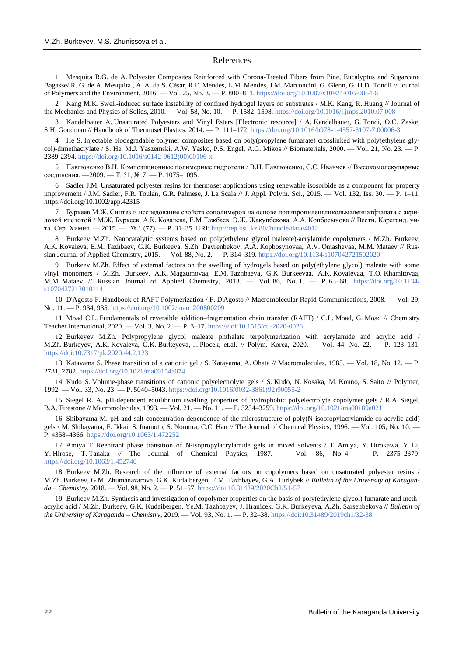### References

1 Mesquita R.G. de A. Polyester Composites Reinforced with Corona-Treated Fibers from Pine, Eucalyptus and Sugarcane Bagasse/ R. G. de A. Mesquita., A. A. da S. César, R.F. Mendes, L.M. Mendes, J.M. Marconcini, G. Glenn, G. H.D. Tonoli // Journal of Polymers and the Environment, 2016. — Vol. 25, No. 3. — P. 800–811[. https://doi.org/10.1007/s10924-016-0864-6](https://doi.org/10.1007/s10924-016-0864-6)

2 Kang M.K. Swell-induced surface instability of confined hydrogel layers on substrates / M.K. Kang, R. Huang // Journal of the Mechanics and Physics of Solids, 2010. — Vol. 58, No. 10. — P. 1582–1598.<https://doi.org/10.1016/j.jmps.2010.07.008>

3 Kandelbauer A. Unsaturated Polyesters and Vinyl Esters [Electronic resource] / A. Kandelbauer, G. Tondi, O.C. Zaske, S.H. Goodman // Handbook of Thermoset Plastics, 2014. — P. 111–172[. https://doi.org/10.1016/b978-1-4557-3107-7.00006-3](https://doi.org/10.1016/b978-1-4557-3107-7.00006-3)

4 He S. Injectable biodegradable polymer composites based on poly(propylene fumarate) crosslinked with poly(ethylene glycol)-dimethacrylate / S. He, M.J. Yaszemski, A.W. Yasko, P.S. Engel, A.G. Mikos // Biomaterials, 2000. — Vol. 21, No. 23. -2389-2394[. https://doi.org/10.1016/s0142-9612\(00\)00106-x](https://doi.org/10.1016/s0142-9612(00)00106-x)

5 Павлюченко В.Н. Композиционные полимерные гидрогели / В.Н. Павлюченко, С.С. Иванчев // Высокомолекулярные соединения. —2009. — Т. 51, № 7. — P. 1075–1095.

6 Sadler J.M. Unsaturated polyester resins for thermoset applications using renewable isosorbide as a component for property improvement / J.M. Sadler, F.R. Toulan, G.R. Palmese, J. La Scala // J. Appl. Polym. Sci., 2015. — Vol. 132, Iss. 30. — P. 1–11. https://doi.org/10.1002/app.42315

7 Буркеев М.Ж. Синтез и исследование свойств сополимеров на основе полипропиленгликольмалеинатфталата с акриловой кислотой / М.Ж. Буркеев, А.К. Ковалева, Е.М Тажбаев, Э.Ж. Жакупбекова, А.А. Копбосынова // Вестн. Караганд. унта. Сер. Химия. — 2015. — № 1 (77). — P. 31–35. URI[: http://rep.ksu.kz:80//handle/data/4012](http://rep.ksu.kz/handle/data/4012)

8 Burkeev M.Zh. Nanocatalytic systems based on poly(ethylene glycol maleate)-acrylamide copolymers / M.Zh. Burkeev, A.K. Kovaleva, E.M. Tazhbaev, G.K. Burkeeva, S.Zh. Davrenbekov, A.A. Kopbosynovaa, A.V. Omashevaa, M.M. Mataev // Russian Journal of Applied Chemistry, 2015. — Vol. 88, No. 2. — P. 314–319[. https://doi.org/10.1134/s107042721502020](https://doi.org/10.1134/s107042721502020)

9 Burkeev M.Zh. Effect of external factors on the swelling of hydrogels based on poly(ethylene glycol) maleate with some vinyl monomers / M.Zh. Burkeev, A.K. Magzumovaa, E.M. Tazhbaeva, G.K. Burkeevaa, A.K. Kovalevaa, T.O. Khamitovaa, M.M. Mataev // Russian Journal of Applied Chemistry, 2013. — Vol. 86, No. 1. — P. 63–68. [https://doi.org/10.1134/](https://doi.org/10.1134/s1070427213010114) [s1070427213010114](https://doi.org/10.1134/s1070427213010114)

10 D'Agosto F. Handbook of RAFT Polymerization / F. D'Agosto // Macromolecular Rapid Communications, 2008. — Vol. 29, No. 11. — P. 934, 935[. https://doi.org/10.1002/marc.200800209](https://doi.org/10.1002/marc.200800209)

11 Moad C.L. Fundamentals of reversible addition–fragmentation chain transfer (RAFT) / C.L. Moad, G. Moad // Chemistry Teacher International, 2020. — Vol. 3, No. 2. — P. 3–17.<https://doi:10.1515/cti-2020-0026>

12 Burkeyev M.Zh. Polypropylene glycol maleate phthalate terpolymerization with acrylamide and acrylic acid / M.Zh. Burkeyev, A.K. Kovaleva, G.K. Burkeyeva, J. Plocek, et.al. // Polym. Korea, 2020. — Vol. 44, No. 22. — P. 123–131. <https://doi:10.7317/pk.2020.44.2.123>

13 Katayama S. Phase transition of a cationic gel / S. Katayama, A. Ohata // Macromolecules, 1985. — Vol. 18, No. 12. — P. 2781, 2782[. https://doi.org/10.1021/ma00154a074](https://doi.org/10.1021/ma00154a074)

14 Kudo S. Volume-phase transitions of cationic polyelectrolyte gels / S. Kudo, N. Kosaka, M. Konno, S. Saito // Polymer, 1992. — Vol. 33, No. 23. — P. 5040–5043[. https://doi.org/10.1016/0032-3861\(92\)90055-2](https://doi.org/10.1016/0032-3861(92)90055-2)

15 Siegel R. A. pH-dependent equilibrium swelling properties of hydrophobic polyelectrolyte copolymer gels / R.A. Siegel, B.A. Firestone // Macromolecules, 1993. — Vol. 21. — No. 11. — P. 3254–3259[. https://doi.org/10.1021/ma00189a021](https://doi.org/10.1021/ma00189a021)

16 Shibayama M. pH and salt concentration dependence of the microstructure of poly(N‐isopropylacrylamide‐co‐acrylic acid) gels / M. Shibayama, F. Ikkai, S. Inamoto, S. Nomura, C.C. Han // The Journal of Chemical Physics, 1996. — Vol. 105, No. 10. -P. 4358–4366.<https://doi.org/10.1063/1.472252>

17 Amiya T. Reentrant phase transition of N‐isopropylacrylamide gels in mixed solvents / T. Amiya, Y. Hirokawa, Y. Li, Y. Hirose, T. Tanaka // The Journal of Chemical Physics, 1987. — Vol. 86, No. 4. — P. 2375–2379. <https://doi.org/10.1063/1.452740>

18 Burkeev M.Zh. Research of the influence of external factors on copolymers based on unsaturated polyester resins / M.Zh. Burkeev, G.M. Zhumanazarova, G.K. Kudaibergen, E.M. Tazhbayev, G.A. Turlybek // *Bulletin of the University of Karaganda – Chemistry*, 2018. — Vol. 98, No. 2. — P. 51–57[. https://doi.10.31489/2020Ch2/51-57](https://doi.10.31489/2020Ch2/51-57)

19 Burkeev M.Zh. Synthesis and investigation of copolymer properties on the basis of poly(ethylene glycol) fumarate and methacrylic acid / M.Zh. Burkeev, G.K. Kudaibergen, Ye.M. Tazhbayev, J. Hranicek, G.K. Burkeyeva, A.Zh. Sarsenbekova // *Bulletin of the University of Karaganda – Chemistry*, 2019. — Vol. 93, No. 1. — P. 32–38.<https://doi:10.31489/2019ch1/32-38>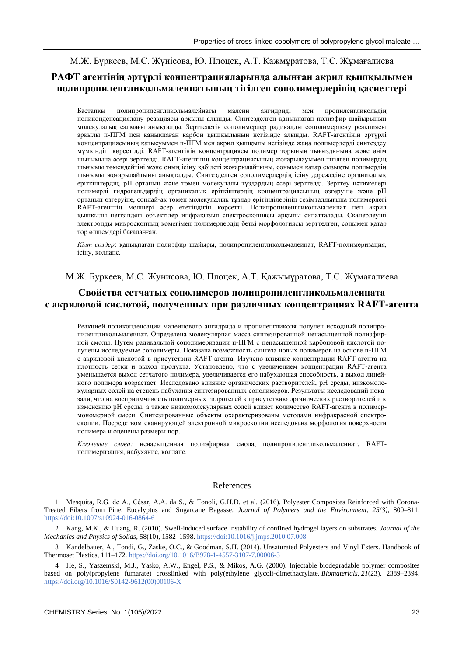М.Ж. Бүркеев, М.С. Жүнісова, Ю. Плоцек, А.Т. Қажмұратова, Т.С. Жұмағалиева

# **РАФТ агентінің әртүрлі концентрацияларында алынған акрил қышқылымен полипропиленгликольмалеинатының тігілген сополимерлерінің қасиеттері**

Бастапқы полипропиленгликольмалейнаты малеин ангидриді мен пропиленгликольдің поликонденсациялану реакциясы арқылы алынды. Синтезделген қанықпаған полиэфир шайырының молекулалық салмағы анықталды. Зерттелетін сополимерлер радикалды сополимерлену реакциясы арқылы п-ПГМ пен қанықпаған карбон қышқылының негізінде алынды. RAFT-агентінің әртүрлі концентрациясының қатысуымен п-ПГМ мен акрил қышқылы негізінде жаңа полимерлерді синтездеу мүмкіндігі көрсетілді. RAFT-агентінің концентрациясы полимер торының тығыздығына және өнім шығымына әсері зерттелді. RAFT-агентінің концентрациясының жоғарылауымен тігілген полимердің шығымы төмендейтіні және оның ісіну қабілеті жоғарылайтыны, сонымен қатар сызықты полимердің шығымы жоғарылайтыны анықталды. Синтезделген сополимерлердің ісіну дәрежесіне органикалық еріткіштердің, рН ортаның және төмен молекулалы тұздардың әсері зерттелді. Зерттеу нәтижелері полимерлі гидрогельдердің органикалық еріткіштердің концентрациясының өзгеруіне және рН ортаның өзгеруіне, сондай-ақ төмен молекулалық тұздар ерітінділерінің сезімталдығына полимердегі RAFT-агенттің мөлшері әсер ететіндігін көрсетті. Полипропиленгликольмалеинат пен акрил қышқылы негізіндегі объектілер инфрақызыл спектроскопиясы арқылы сипатталады. Сканерлеуші электронды микроскоптың көмегімен полимерлердің беткі морфологиясы зерттелген, сонымен қатар тор өлшемдері бағаланған.

*Кілт сөздер*: қанықпаған полиэфир шайыры, полипропиленгликольмалеинат, RAFT-полимеризация, ісіну, коллапс.

М.Ж. Буркеев, М.С. Жунисова, Ю. Плоцек, А.Т. Қажымұратова, Т.С. Жұмағалиева

# **Свойства сетчатых сополимеров полипропиленгликольмалеината с акриловой кислотой, полученных при различных концентрациях RAFT-агента**

Реакцией поликонденсации малеинового ангидрида и пропиленгликоля получен исходный полипропиленгликольмалеинат. Определена молекулярная масса синтезированной ненасыщенной полиэфирной смолы. Путем радикальной сополимеризации п-ПГМ с ненасыщенной карбоновой кислотой получены исследуемые сополимеры. Показана возможность синтеза новых полимеров на основе п-ПГМ с акриловой кислотой в присутствии RAFT-агента. Изучено влияние концентрации RAFT-агента на плотность сетки и выход продукта. Установлено, что с увеличением концентрации RAFT-агента уменьшается выход сетчатого полимера, увеличивается его набухающая способность, а выход линейного полимера возрастает. Исследовано влияние органических растворителей, pH среды, низкомолекулярных солей на степень набухания синтезированных сополимеров. Результаты исследований показали, что на восприимчивость полимерных гидрогелей к присутствию органических растворителей и к изменению pH среды, а также низкомолекулярных солей влияет количество RAFT-агента в полимермономерной смеси. Синтезированные объекты охарактеризованы методами инфракрасной спектроскопии. Посредством сканирующей электронной микроскопии исследована морфология поверхности полимера и оценены размеры пор.

*Ключевые слова:* ненасыщенная полиэфирная смола, полипропиленгликольмалеинат, RAFTполимеризация, набухание, коллапс.

### References

1 Mesquita, R.G. de A., César, A.A. da S., & Tonoli, G.H.D. et al. (2016). Polyester Composites Reinforced with Corona-Treated Fibers from Pine, Eucalyptus and Sugarcane Bagasse. *Journal of Polymers and the Environment, 25(3),* 800–811. <https://doi:10.1007/s10924-016-0864-6>

2 Kang, M.K., & Huang, R. (2010). Swell-induced surface instability of confined hydrogel layers on substrates. *Journal of the Mechanics and Physics of Solids*, 58(10), 1582–1598[. https://doi:10.1016/j.jmps.2010.07.008](https://doi:10.1016/j.jmps.2010.07.008)

3 Kandelbauer, A., Tondi, G., Zaske, O.C., & Goodman, S.H. (2014). Unsaturated Polyesters and Vinyl Esters. Handbook of Thermoset Plastics, 111–172[. https://doi.org/10.1016/B978-1-4557-3107-7.00006-3](https://doi.org/10.1016/B978-1-4557-3107-7.00006-3)

4 He, S., Yaszemski, M.J., Yasko, A.W., Engel, P.S., & Mikos, A.G. (2000). Injectable biodegradable polymer composites based on poly(propylene fumarate) crosslinked with poly(ethylene glycol)-dimethacrylate. *Biomaterials*, *21*(23), 2389–2394. [https://doi.org/10.1016/S0142-9612\(00\)00106-X](https://doi.org/10.1016/S0142-9612(00)00106-X)